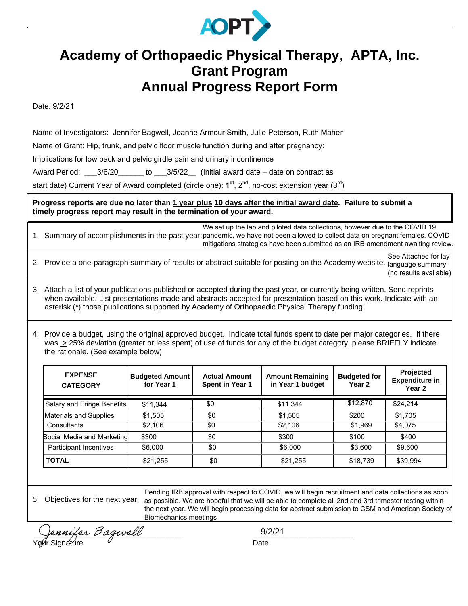

## **Academy of Orthopaedic Physical Therapy, APTA, Inc. Grant Program Annual Progress Report Form**

Date: 9/2/21

Name of Investigators: Jennifer Bagwell, Joanne Armour Smith, Julie Peterson, Ruth Maher

Name of Grant: Hip, trunk, and pelvic floor muscle function during and after pregnancy:

Implications for low back and pelvic girdle pain and urinary incontinence

Award Period: \_\_\_3/6/20\_\_\_\_\_\_ to \_\_\_3/5/22\_\_ (Initial award date – date on contract as

start date) Current Year of Award completed (circle one): 1<sup>st</sup>, 2<sup>nd</sup>, no-cost extension year (3<sup>rd</sup>)

**Progress reports are due no later than 1 year plus 10 days after the initial award date. Failure to submit a timely progress report may result in the termination of your award.** 

1. Summary of accomplishments in the past year: pandemic, we have not been allowed to collect data on pregnant females. COVID We set up the lab and piloted data collections, however due to the COVID 19 mitigations strategies have been submitted as an IRB amendment awaiting review.

2. Provide a one-paragraph summary of results or abstract suitable for posting on the Academy website. <sub>language summary</sub> See Attached for lay (no results available)

3. Attach a list of your publications published or accepted during the past year, or currently being written. Send reprints when available. List presentations made and abstracts accepted for presentation based on this work. Indicate with an asterisk (\*) those publications supported by Academy of Orthopaedic Physical Therapy funding.

4. Provide a budget, using the original approved budget. Indicate total funds spent to date per major categories. If there was > 25% deviation (greater or less spent) of use of funds for any of the budget category, please BRIEFLY indicate the rationale. (See example below)

| <b>EXPENSE</b><br><b>CATEGORY</b> | <b>Budgeted Amount</b><br>for Year 1 | <b>Actual Amount</b><br><b>Spent in Year 1</b> | <b>Amount Remaining</b><br>in Year 1 budget | <b>Budgeted for</b><br>Year 2 | <b>Projected</b><br><b>Expenditure in</b><br>Year <sub>2</sub> |
|-----------------------------------|--------------------------------------|------------------------------------------------|---------------------------------------------|-------------------------------|----------------------------------------------------------------|
| Salary and Fringe Benefits        | \$11,344                             | \$0                                            | \$11,344                                    | \$12,870                      | \$24,214                                                       |
| <b>Materials and Supplies</b>     | \$1,505                              | \$0                                            | \$1,505                                     | \$200                         | \$1,705                                                        |
| Consultants                       | \$2,106                              | \$0                                            | \$2,106                                     | \$1,969                       | \$4,075                                                        |
| Social Media and Marketing        | \$300                                | \$0                                            | \$300                                       | \$100                         | \$400                                                          |
| Participant Incentives            | \$6,000                              | \$0                                            | \$6,000                                     | \$3,600                       | \$9,600                                                        |
| <b>TOTAL</b>                      | \$21,255                             | \$0                                            | \$21,255                                    | \$18,739                      | \$39,994                                                       |

5. Objectives for the next year: as possible. We are hopeful that we will be able to complete all 2nd and 3rd trimester testing within Pending IRB approval with respect to COVID, we will begin recruitment and data collections as soon the next year. We will begin processing data for abstract submission to CSM and American Society of Biomechanics meetings

\_\_\_\_\_\_\_\_\_\_\_\_\_\_\_\_\_\_\_\_\_\_\_\_\_\_\_\_\_\_\_\_\_ \_\_\_\_\_\_\_\_\_\_\_\_\_\_\_\_\_\_\_\_\_\_ Your Signature Communication Contract Date

9/2/21